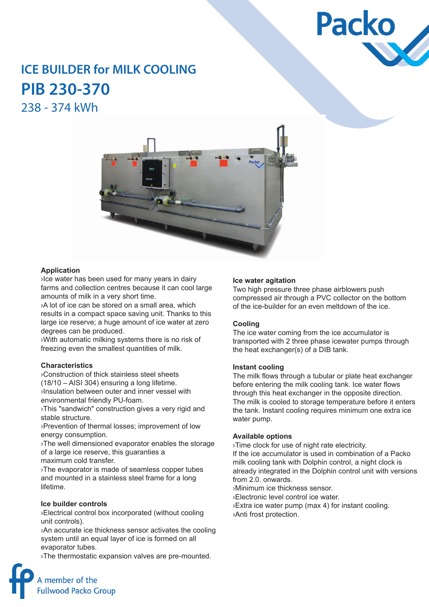

# **ICE BUILDER for MILK COOLING PIB 230-370**

238 - 374 kWh



## **Application**

›Ice water has been used for many years in dairy farms and collection centres because it can cool large amounts of milk in a very short time.

›A lot of ice can be stored on a small area, which results in a compact space saving unit. Thanks to this large ice reserve; a huge amount of ice water at zero degrees can be produced.

›With automatic milking systems there is no risk of freezing even the smallest quantities of milk.

## **Characteristics**

›Construction of thick stainless steel sheets

(18/10 – AISI 304) ensuring a long lifetime. ›Insulation between outer and inner vessel with environmental friendly PU-foam.

›This "sandwich" construction gives a very rigid and stable structure.

›Prevention of thermal losses; improvement of low energy consumption.

›The well dimensioned evaporator enables the storage of a large ice reserve, this guaranties a

maximum cold transfer.

›The evaporator is made of seamless copper tubes and mounted in a stainless steel frame for a long lifetime.

## **Ice builder controls**

›Electrical control box incorporated (without cooling unit controls).

›An accurate ice thickness sensor activates the cooling system until an equal layer of ice is formed on all evaporator tubes.

›The thermostatic expansion valves are pre-mounted.

# **Ice water agitation**

Two high pressure three phase airblowers push compressed air through a PVC collector on the bottom of the ice-builder for an even meltdown of the ice.

# **Cooling**

The ice water coming from the ice accumulator is transported with 2 three phase icewater pumps through the heat exchanger(s) of a DIB tank.

## **Instant cooling**

The milk flows through a tubular or plate heat exchanger before entering the milk cooling tank. Ice water flows through this heat exchanger in the opposite direction. The milk is cooled to storage temperature before it enters the tank. Instant cooling requires minimum one extra ice water pump.

# **Available options**

›Time clock for use of night rate electricity. If the ice accumulator is used in combination of a Packo milk cooling tank with Dolphin control, a night clock is already integrated in the Dolphin control unit with versions from 2.0. onwards.

›Minimum ice thickness sensor.

›Electronic level control ice water.

›Extra ice water pump (max 4) for instant cooling. ›Anti frost protection.